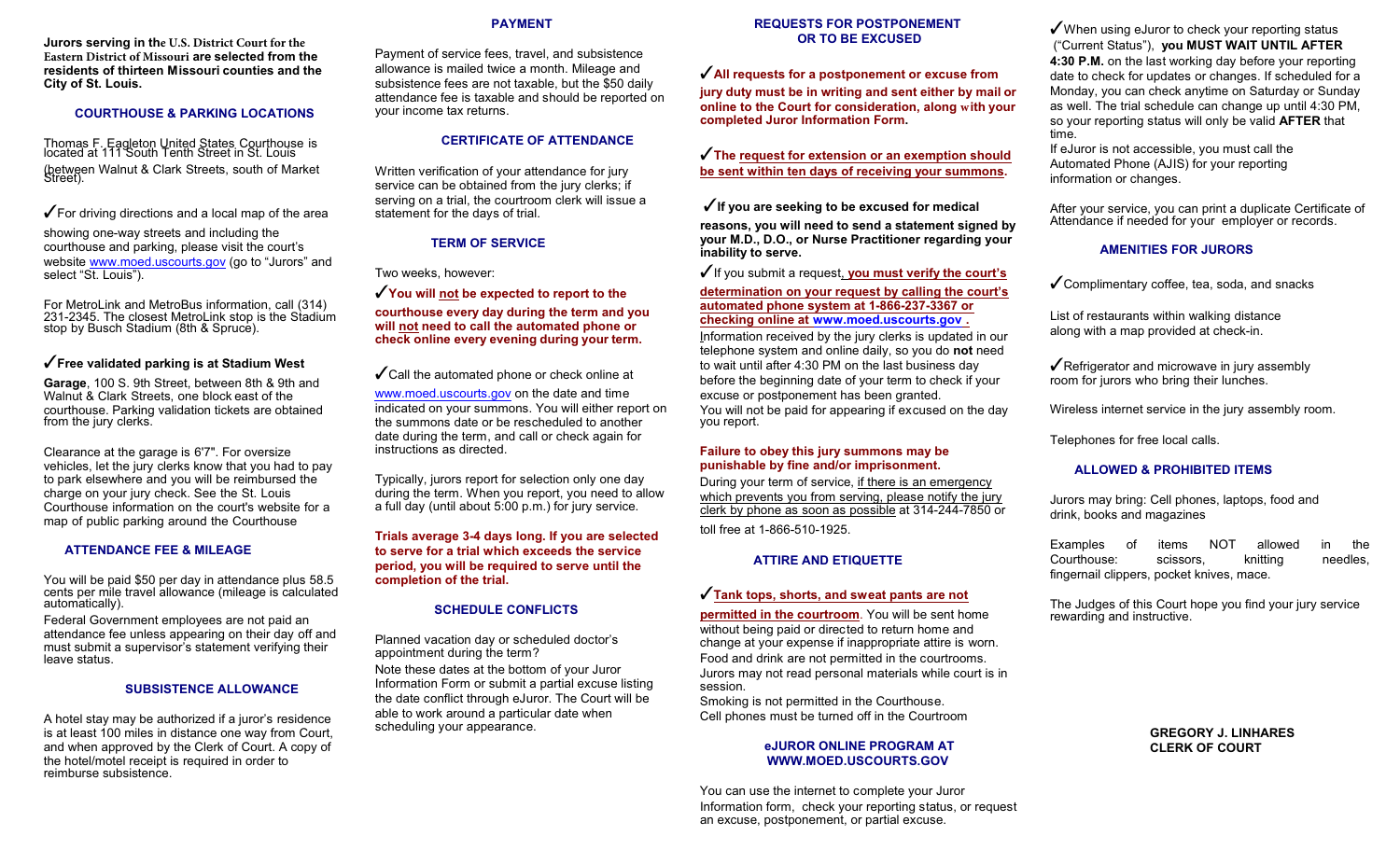**Jurors serving in the U.S. District Court for the Eastern District of Missouri are selected from the residents of thirteen Missouri counties and the City of St. Louis.**

#### **COURTHOUSE & PARKING LOCATIONS**

Thomas F. Eagleton United States Courthouse is located at 111 South Tenth Street in St. Louis (between Walnut & Clark Streets, south of Market<br>Street).

 $\sqrt{\ }$  For driving directions and a local map of the area

showing one-way streets and including the courthouse and parking, please visit the court's website [www.moed.uscourts.gov](http://www.moed.uscourts.gov) (go to "Jurors" and select "St. Louis").

For MetroLink and MetroBus information, call (314) 231-2345. The closest MetroLink stop is the Stadium stop by Busch Stadium (8th & Spruce).

#### T**Free validated parking is at Stadium West**

**Garage**, 100 S. 9th Street, between 8th & 9th and Walnut & Clark Streets, one block east of the courthouse. Parking validation tickets are obtained from the jury clerks.

Clearance at the garage is 6'7". For oversize vehicles, let the jury clerks know that you had to pay to park elsewhere and you will be reimbursed the charge on your jury check. See the St. Louis Courthouse information on the court's website for a map of public parking around the Courthouse

#### **ATTENDANCE FEE & MILEAGE**

You will be paid \$50 per day in attendance plus 58.5 cents per mile travel allowance (mileage is calculated automatically).

Federal Government employees are not paid an attendance fee unless appearing on their day off and must submit a supervisor's statement verifying their leave status.

#### **SUBSISTENCE ALLOWANCE**

A hotel stay may be authorized if a juror's residence is at least 100 miles in distance one way from Court, and when approved by the Clerk of Court. A copy of the hotel/motel receipt is required in order to reimburse subsistence.

#### **PAYMENT**

Payment of service fees, travel, and subsistence allowance is mailed twice a month. Mileage and subsistence fees are not taxable, but the \$50 daily attendance fee is taxable and should be reported on your income tax returns.

# **CERTIFICATE OF ATTENDANCE**

Written verification of your attendance for jury service can be obtained from the jury clerks; if serving on a trial, the courtroom clerk will issue a statement for the days of trial.

# **TERM OF SERVICE**

Two weeks, however:

You will not be expected to report to the

**courthouse every day during the term and you will not need to call the automated phone or check online every evening during your term.**

 $\checkmark$  Call the automated phone or check online at

[www.moed.uscourts.gov](http://www.moed.uscourts.gov) on the date and time indicated on your summons. You will either report on the summons date or be rescheduled to another date during the term, and call or check again for instructions as directed.

Typically, jurors report for selection only one day during the term. When you report, you need to allow a full day (until about 5:00 p.m.) for jury service.

**Trials average 3-4 days long. If you are selected to serve for a trial which exceeds the service period, you will be required to serve until the completion of the trial.** 

# **SCHEDULE CONFLICTS**

Planned vacation day or scheduled doctor's appointment during the term? Note these dates at the bottom of your Juror Information Form or submit a partial excuse listing the date conflict through eJuror. The Court will be able to work around a particular date when scheduling your appearance.

#### **REQUESTS FOR POSTPONEMENT OR TO BE EXCUSED**

T**All requests for a postponement or excuse from**

**jury duty must be in writing and sent either by mail or online to the Court for consideration, along with your completed Juror Information Form.** 

# T**The request for extension or an exemption should be sent within ten days of receiving your summons.**

**√** If you are seeking to be excused for medical

**reasons, you will need to send a statement signed by your M.D., D.O., or Nurse Practitioner regarding your inability to serve.** 

**√** If you submit a request, **you must verify the court's** 

### **determination on your request by calling the court's automated phone system at 1-866-237-3367 or checking online at [www.moed.uscourts.gov](http://www.moed.uscourts.gov) .**

Information received by the jury clerks is updated in our telephone system and online daily, so you do **not** need to wait until after 4:30 PM on the last business day before the beginning date of your term to check if your excuse or postponement has been granted. You will not be paid for appearing if excused on the day you report.

#### **Failure to obey this jury summons may be punishable by fine and/or imprisonment.**

During your term of service, if there is an emergency which prevents you from serving, please notify the jury clerk by phone as soon as possible at 314-244-7850 or

toll free at 1-866-510-1925.

# **ATTIRE AND ETIQUETTE**

#### T**Tank tops, shorts, and sweat pants are not**

**permitted in the courtroom**. You will be sent home without being paid or directed to return home and change at your expense if inappropriate attire is worn. Food and drink are not permitted in the courtrooms. Jurors may not read personal materials while court is in session.

Smoking is not permitted in the Courthouse. Cell phones must be turned off in the Courtroom

#### **eJUROR ONLINE PROGRAM AT WWW.MOED.USCOURTS.GOV**

You can use the internet to complete your Juror Information form, check your reporting status, or request an excuse, postponement, or partial excuse.

 $\sqrt{\ }$  When using eJuror to check your reporting status ("Current Status"), **you MUST WAIT UNTIL AFTER 4:30 P.M.** on the last working day before your reporting date to check for updates or changes. If scheduled for a Monday, you can check anytime on Saturday or Sunday as well. The trial schedule can change up until 4:30 PM, so your reporting status will only be valid **AFTER** that time.

If eJuror is not accessible, you must call the Automated Phone (AJIS) for your reporting information or changes.

After your service, you can print a duplicate Certificate of Attendance if needed for your employer or records.

### **AMENITIES FOR JURORS**

 $\checkmark$  Complimentary coffee, tea, soda, and snacks

List of restaurants within walking distance along with a map provided at check-in.

 $\sqrt{\overline{R}}$  Refrigerator and microwave in jury assembly room for jurors who bring their lunches.

Wireless internet service in the jury assembly room.

Telephones for free local calls.

### **ALLOWED & PROHIBITED ITEMS**

Jurors may bring: Cell phones, laptops, food and drink, books and magazines

Examples of items NOT allowed in the Courthouse: scissors, knitting needles, fingernail clippers, pocket knives, mace.

The Judges of this Court hope you find your jury service rewarding and instructive.

> **GREGORY J. LINHARES CLERK OF COURT**